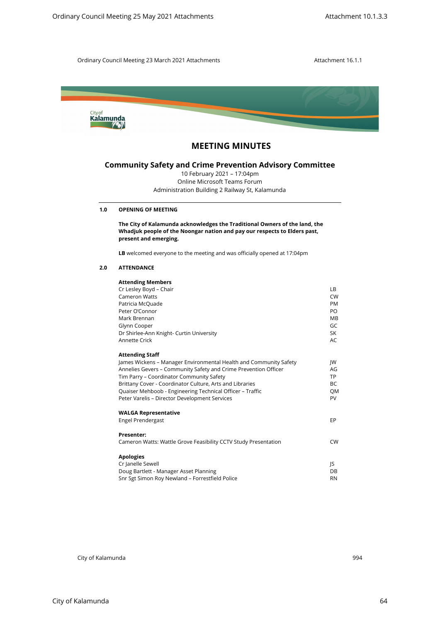

# **MEETING MINUTES**

# **Community Safety and Crime Prevention Advisory Committee**

## **1.0 OPENING OF MEETING**

## **2.0 ATTENDANCE**

| Kalamunda                                                                                                     |                                                                                                                                                                                                                                                                                                                                                                                                                                                                                                                                               |
|---------------------------------------------------------------------------------------------------------------|-----------------------------------------------------------------------------------------------------------------------------------------------------------------------------------------------------------------------------------------------------------------------------------------------------------------------------------------------------------------------------------------------------------------------------------------------------------------------------------------------------------------------------------------------|
| <b>MEETING MINUTES</b>                                                                                        |                                                                                                                                                                                                                                                                                                                                                                                                                                                                                                                                               |
| 10 February 2021 - 17:04pm<br>Online Microsoft Teams Forum<br>Administration Building 2 Railway St, Kalamunda |                                                                                                                                                                                                                                                                                                                                                                                                                                                                                                                                               |
| <b>OPENING OF MEETING</b>                                                                                     |                                                                                                                                                                                                                                                                                                                                                                                                                                                                                                                                               |
| present and emerging.                                                                                         |                                                                                                                                                                                                                                                                                                                                                                                                                                                                                                                                               |
| LB welcomed everyone to the meeting and was officially opened at 17:04pm                                      |                                                                                                                                                                                                                                                                                                                                                                                                                                                                                                                                               |
| <b>ATTENDANCE</b>                                                                                             |                                                                                                                                                                                                                                                                                                                                                                                                                                                                                                                                               |
| <b>Attending Members</b>                                                                                      |                                                                                                                                                                                                                                                                                                                                                                                                                                                                                                                                               |
|                                                                                                               | LВ<br><b>CW</b>                                                                                                                                                                                                                                                                                                                                                                                                                                                                                                                               |
| Patricia McQuade                                                                                              | PM                                                                                                                                                                                                                                                                                                                                                                                                                                                                                                                                            |
|                                                                                                               | PO<br>MВ                                                                                                                                                                                                                                                                                                                                                                                                                                                                                                                                      |
|                                                                                                               | GC                                                                                                                                                                                                                                                                                                                                                                                                                                                                                                                                            |
| Dr Shirlee-Ann Knight- Curtin University                                                                      | SK                                                                                                                                                                                                                                                                                                                                                                                                                                                                                                                                            |
|                                                                                                               | AC                                                                                                                                                                                                                                                                                                                                                                                                                                                                                                                                            |
| <b>Attending Staff</b>                                                                                        |                                                                                                                                                                                                                                                                                                                                                                                                                                                                                                                                               |
| Annelies Gevers - Community Safety and Crime Prevention Officer                                               | JW<br>AG                                                                                                                                                                                                                                                                                                                                                                                                                                                                                                                                      |
| Tim Parry - Coordinator Community Safety                                                                      | TP                                                                                                                                                                                                                                                                                                                                                                                                                                                                                                                                            |
|                                                                                                               | BC<br>QM                                                                                                                                                                                                                                                                                                                                                                                                                                                                                                                                      |
| Peter Varelis - Director Development Services                                                                 | PV                                                                                                                                                                                                                                                                                                                                                                                                                                                                                                                                            |
| <b>WALGA Representative</b>                                                                                   |                                                                                                                                                                                                                                                                                                                                                                                                                                                                                                                                               |
| Engel Prendergast                                                                                             | EP                                                                                                                                                                                                                                                                                                                                                                                                                                                                                                                                            |
| Presenter:<br>Cameron Watts: Wattle Grove Feasibility CCTV Study Presentation                                 | <b>CW</b>                                                                                                                                                                                                                                                                                                                                                                                                                                                                                                                                     |
| <b>Apologies</b>                                                                                              |                                                                                                                                                                                                                                                                                                                                                                                                                                                                                                                                               |
| Cr Janelle Sewell                                                                                             | JS<br>DB                                                                                                                                                                                                                                                                                                                                                                                                                                                                                                                                      |
| Doug Bartlett - Manager Asset Planning                                                                        |                                                                                                                                                                                                                                                                                                                                                                                                                                                                                                                                               |
|                                                                                                               | <b>Community Safety and Crime Prevention Advisory Committee</b><br>The City of Kalamunda acknowledges the Traditional Owners of the land, the<br>Whadjuk people of the Noongar nation and pay our respects to Elders past,<br>Cr Lesley Boyd - Chair<br><b>Cameron Watts</b><br>Peter O'Connor<br>Mark Brennan<br>Glynn Cooper<br>Annette Crick<br>James Wickens - Manager Environmental Health and Community Safety<br>Brittany Cover - Coordinator Culture, Arts and Libraries<br>Quaiser Mehboob - Engineering Technical Officer - Traffic |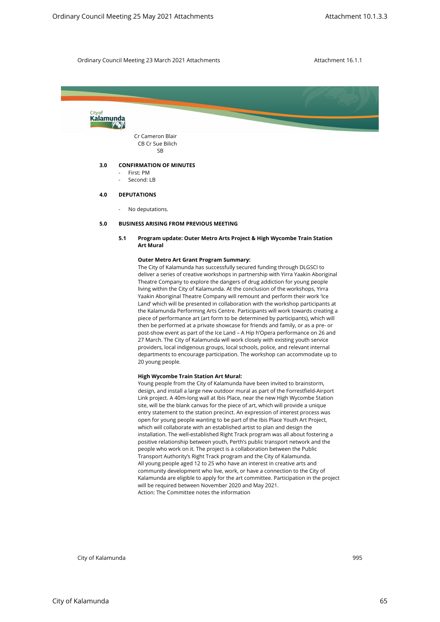

#### **5.0 BUSINESS ARISING FROM PREVIOUS MEETING**

## **5.1 Program update: Outer Metro Arts Project & High Wycombe Train Station Art Mural**

#### **Outer Metro Art Grant Program Summary:**

The City of Kalamunda has successfully secured funding through DLGSCI to deliver a series of creative workshops in partnership with Yirra Yaakin Aboriginal Theatre Company to explore the dangers of drug addiction for young people living within the City of Kalamunda. At the conclusion of the workshops, Yirra Yaakin Aboriginal Theatre Company will remount and perform their work 'Ice Land' which will be presented in collaboration with the workshop participants at the Kalamunda Performing Arts Centre. Participants will work towards creating a piece of performance art (art form to be determined by participants), which will then be performed at a private showcase for friends and family, or as a pre- or post-show event as part of the Ice Land – A Hip h'Opera performance on 26 and 27 March. The City of Kalamunda will work closely with existing youth service providers, local indigenous groups, local schools, police, and relevant internal departments to encourage participation. The workshop can accommodate up to 20 young people.

#### **High Wycombe Train Station Art Mural:**

Young people from the City of Kalamunda have been invited to brainstorm, design, and install a large new outdoor mural as part of the Forrestfield-Airport Link project. A 40m-long wall at Ibis Place, near the new High Wycombe Station site, will be the blank canvas for the piece of art, which will provide a unique entry statement to the station precinct. An expression of interest process was open for young people wanting to be part of the Ibis Place Youth Art Project, which will collaborate with an established artist to plan and design the installation. The well-established Right Track program was all about fostering a positive relationship between youth, Perth's public transport network and the people who work on it. The project is a collaboration between the Public Transport Authority's Right Track program and the City of Kalamunda. All young people aged 12 to 25 who have an interest in creative arts and community development who live, work, or have a connection to the City of Kalamunda are eligible to apply for the art committee. Participation in the project will be required between November 2020 and May 2021. Action: The Committee notes the information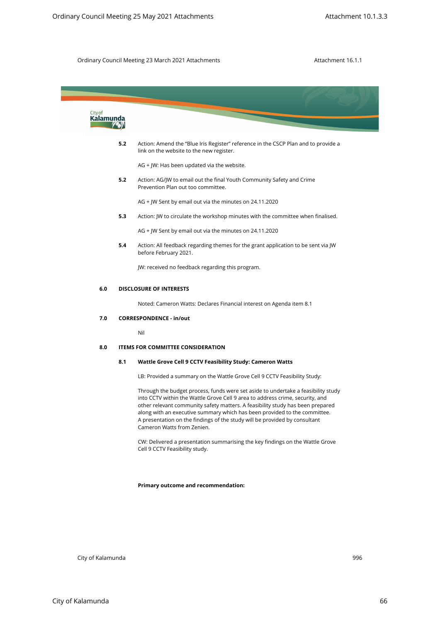

**Primary outcome and recommendation:**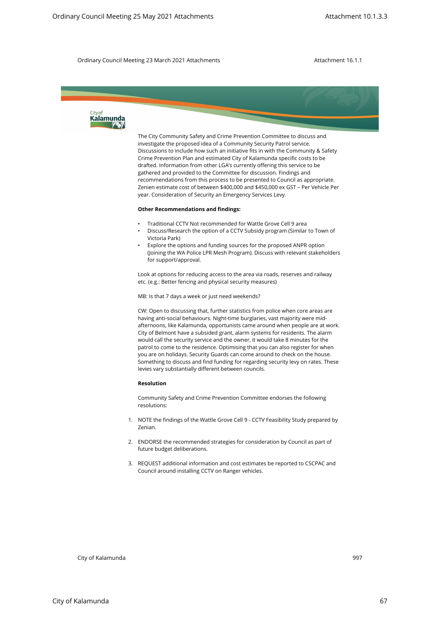

The City Community Safety and Crime Prevention Committee to discuss and investigate the proposed idea of a Community Security Patrol service. Discussions to include how such an initiative fits in with the Community & Safety Crime Prevention Plan and estimated City of Kalamunda specific costs to be drafted. Information from other LGA's currently offering this service to be gathered and provided to the Committee for discussion. Findings and recommendations from this process to be presented to Council as appropriate. Zenien estimate cost of between \$400,000 and \$450,000 ex GST – Per Vehicle Per year. Consideration of Security an Emergency Services Levy.

### **Other Recommendations and findings:**

- Traditional CCTV Not recommended for Wattle Grove Cell 9 area
- Discuss/Research the option of a CCTV Subsidy program (Similar to Town of Victoria Park)
- Explore the options and funding sources for the proposed ANPR option (Joining the WA Police LPR Mesh Program). Discuss with relevant stakeholders for support/approval.

Look at options for reducing access to the area via roads, reserves and railway etc. (e.g.: Better fencing and physical security measures)

MB: Is that 7 days a week or just need weekends?

CW: Open to discussing that, further statistics from police when core areas are having anti-social behaviours. Night-time burglaries, vast majority were midafternoons, like Kalamunda, opportunists came around when people are at work. City of Belmont have a subsided grant, alarm systems for residents. The alarm would call the security service and the owner, it would take 8 minutes for the patrol to come to the residence. Optimising that you can also register for when you are on holidays. Security Guards can come around to check on the house. Something to discuss and find funding for regarding security levy on rates. These levies vary substantially different between councils. Circulary Council Meeting 25 May 2021 Attachments<br>
Uniform (2.3.83<br>
Uniform City of Kalamunda 2021 Attachments<br>
2022 Ordinary Council Meeting 25 May 2021 Attachments<br>
Procedure Representation of Convenience Representation

### **Resolution**

Community Safety and Crime Prevention Committee endorses the following resolutions:

- 1. NOTE the findings of the Wattle Grove Cell 9 CCTV Feasibility Study prepared by Zenian.
- 2. ENDORSE the recommended strategies for consideration by Council as part of future budget deliberations.
- 3. REQUEST additional information and cost estimates be reported to CSCPAC and Council around installing CCTV on Ranger vehicles.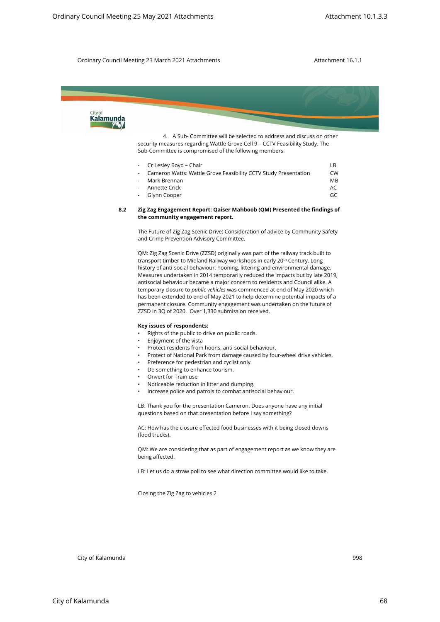

| - Cr Lesley Boyd – Chair                                        |                |
|-----------------------------------------------------------------|----------------|
| Cameron Watts: Wattle Grove Feasibility CCTV Study Presentation | <b>CW</b>      |
| - Mark Brennan                                                  | M <sub>R</sub> |
| - Annette Crick                                                 | AC.            |
| - Glynn Cooper                                                  | GC             |

### **8.2 Zig Zag Engagement Report: Qaiser Mahboob (QM) Presented the findings of the community engagement report.**

The Future of Zig Zag Scenic Drive: Consideration of advice by Community Safety and Crime Prevention Advisory Committee.

QM: Zig Zag Scenic Drive (ZZSD) originally was part of the railway track built to transport timber to Midland Railway workshops in early 20<sup>th</sup> Century. Long history of anti-social behaviour, hooning, littering and environmental damage. Measures undertaken in 2014 temporarily reduced the impacts but by late 2019, antisocial behaviour became a major concern to residents and Council alike. A temporary closure to *public vehicles* was commenced at end of May 2020 which has been extended to end of May 2021 to help determine potential impacts of a permanent closure. Community engagement was undertaken on the future of ZZSD in 3Q of 2020. Over 1,330 submission received.

#### **Key issues of respondents:**

- Rights of the public to drive on public roads.
- Enjoyment of the vista
- Protect residents from hoons, anti-social behaviour.
- Protect of National Park from damage caused by four-wheel drive vehicles.
- Preference for pedestrian and cyclist only
- Do something to enhance tourism.
- Onvert for Train use
- Noticeable reduction in litter and dumping.
- Increase police and patrols to combat antisocial behaviour.

LB: Thank you for the presentation Cameron. Does anyone have any initial questions based on that presentation before I say something?

AC: How has the closure effected food businesses with it being closed downs (food trucks).

QM: We are considering that as part of engagement report as we know they are being affected.

LB: Let us do a straw poll to see what direction committee would like to take.

Closing the Zig Zag to vehicles 2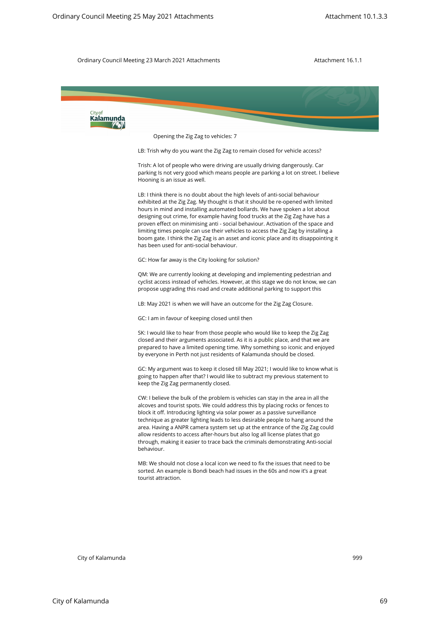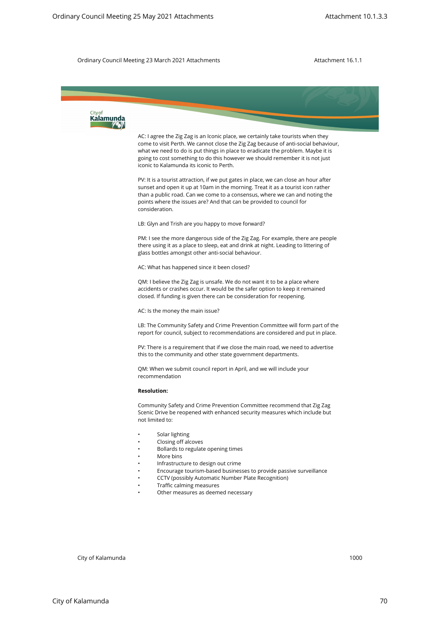